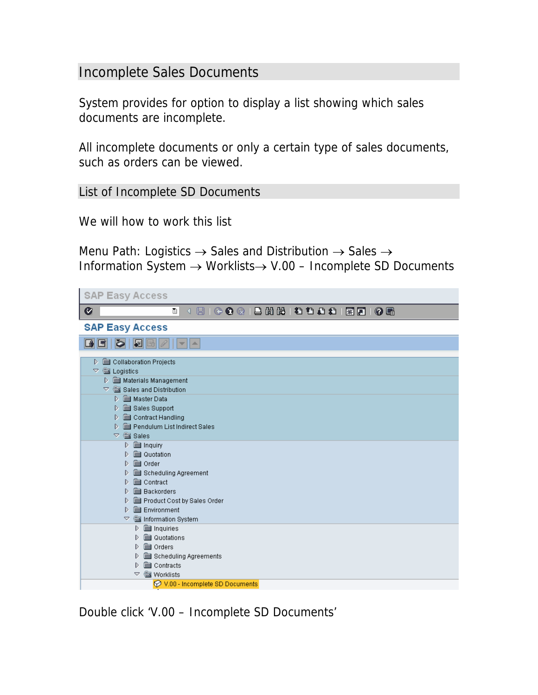## Incomplete Sales Documents

System provides for option to display a list showing which sales documents are incomplete.

All incomplete documents or only a certain type of sales documents, such as orders can be viewed.

List of Incomplete SD Documents

We will how to work this list

Menu Path: Logistics  $\rightarrow$  Sales and Distribution  $\rightarrow$  Sales  $\rightarrow$ Information System → Worklists→ V.00 – Incomplete SD Documents

| <b>SAP Easy Access</b>                                                                                                                                                                                                                                                          |  |  |  |  |  |  |  |  |
|---------------------------------------------------------------------------------------------------------------------------------------------------------------------------------------------------------------------------------------------------------------------------------|--|--|--|--|--|--|--|--|
| Ø<br>ū                                                                                                                                                                                                                                                                          |  |  |  |  |  |  |  |  |
| <b>SAP Easy Access</b>                                                                                                                                                                                                                                                          |  |  |  |  |  |  |  |  |
| $\mathbb{R}$ $\mathbb{B}$<br>is.<br>GI<br>A                                                                                                                                                                                                                                     |  |  |  |  |  |  |  |  |
| Collaboration Projects<br>$\heartsuit$ $\stackrel{\text{\tiny def}}{=}$ Logistics<br>Materials Management<br>$\heartsuit$ $\mathcal{C}\cong$ Sales and Distribution                                                                                                             |  |  |  |  |  |  |  |  |
| D ( Waster Data<br>Sales Support<br>D<br>Contract Handling<br>D.<br>Pendulum List Indirect Sales<br>$\triangledown$ $\frac{125}{228}$ Sales                                                                                                                                     |  |  |  |  |  |  |  |  |
| $\triangleright$ $\blacksquare$ Inquiry<br><b>Solution</b> Quotation<br>D.<br><b>ssential</b> Order<br>D<br>Scheduling Agreement<br>D<br>Contract<br>D.<br><b>Backorders</b><br>D<br>Product Cost by Sales Order<br>D<br><b>But</b> Environment<br>D<br>▽<br>Information System |  |  |  |  |  |  |  |  |
| <b>set</b> Inquiries<br>D.<br><b>sa</b> Quotations<br>D<br><b>s</b> Orders<br>D<br>Scheduling Agreements<br>D<br><b>set</b> Contracts<br>D<br><b>Worklists</b><br>▽<br>V.00 - Incomplete SD Documents                                                                           |  |  |  |  |  |  |  |  |

Double click 'V.00 – Incomplete SD Documents'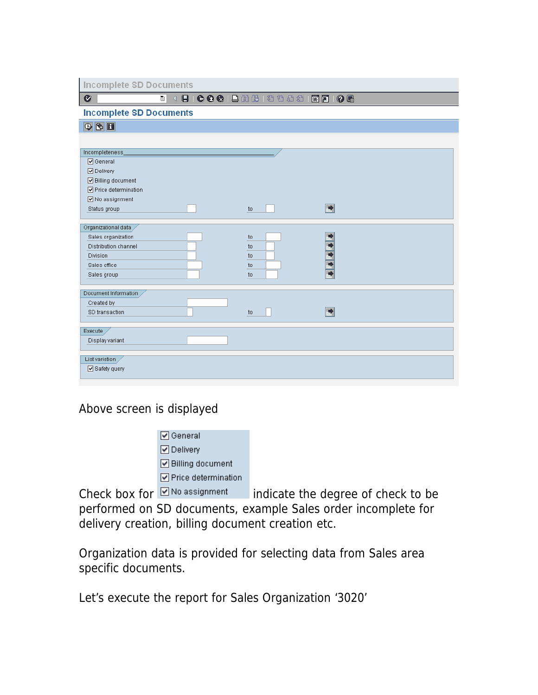**Incomplete SD Documents** 

## **B 4 B 6 G & B H & I & O & I & 8 1 @ B**

**Incomplete SD Documents** 

 $\nabla \mathbf{E}$ 

 $\bullet$ 

| Incompleteness_       |    |               |  |  |  |  |  |  |  |
|-----------------------|----|---------------|--|--|--|--|--|--|--|
| <b>☑</b> General      |    |               |  |  |  |  |  |  |  |
| O Delivery            |    |               |  |  |  |  |  |  |  |
| ☑ Billing document    |    |               |  |  |  |  |  |  |  |
| ☑ Price determination |    |               |  |  |  |  |  |  |  |
| ☑ No assignment       |    |               |  |  |  |  |  |  |  |
| Status group          | to | $\Rightarrow$ |  |  |  |  |  |  |  |
|                       |    |               |  |  |  |  |  |  |  |
| Organizational data   |    |               |  |  |  |  |  |  |  |
| Sales organization    | to |               |  |  |  |  |  |  |  |
| Distribution channel  | to |               |  |  |  |  |  |  |  |
| Division              | to |               |  |  |  |  |  |  |  |
| Sales office          | to |               |  |  |  |  |  |  |  |
| Sales group           | to |               |  |  |  |  |  |  |  |
|                       |    |               |  |  |  |  |  |  |  |
| Document Information  |    |               |  |  |  |  |  |  |  |
| Created by            |    |               |  |  |  |  |  |  |  |
| SD transaction        | to | $\Rightarrow$ |  |  |  |  |  |  |  |
|                       |    |               |  |  |  |  |  |  |  |
| Execute               |    |               |  |  |  |  |  |  |  |
| Display variant       |    |               |  |  |  |  |  |  |  |
|                       |    |               |  |  |  |  |  |  |  |
| List variation        |    |               |  |  |  |  |  |  |  |
| Safety query          |    |               |  |  |  |  |  |  |  |
|                       |    |               |  |  |  |  |  |  |  |

Above screen is displayed

 $\boxed{\triangledown}$  General **☑** Delivery □ Billing document ☑ Price determination

Check box for **Mollassignment** indicate the degree of check to be performed on SD documents, example Sales order incomplete for delivery creation, billing document creation etc.

Organization data is provided for selecting data from Sales area specific documents.

Let's execute the report for Sales Organization '3020'